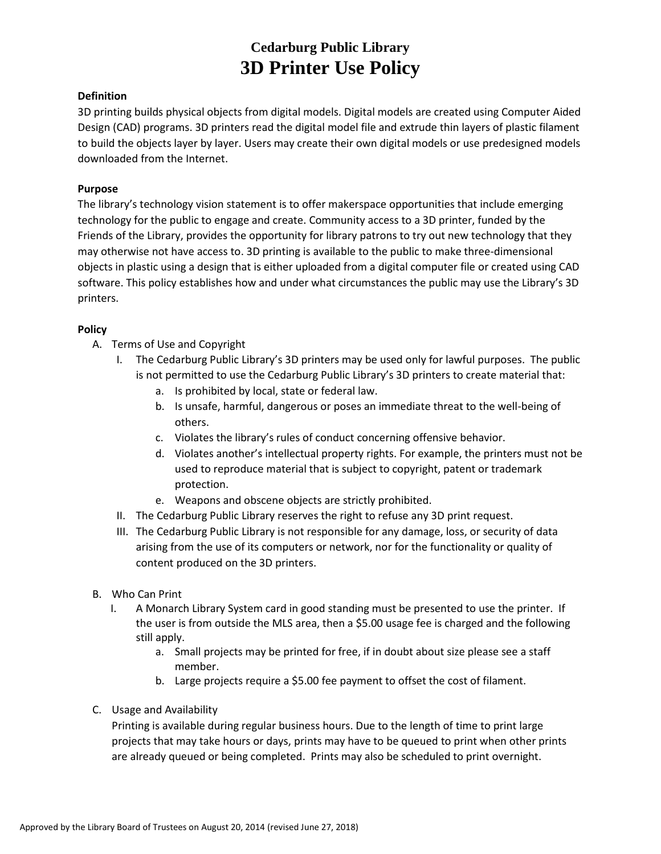# **Cedarburg Public Library 3D Printer Use Policy**

### **Definition**

3D printing builds physical objects from digital models. Digital models are created using Computer Aided Design (CAD) programs. 3D printers read the digital model file and extrude thin layers of plastic filament to build the objects layer by layer. Users may create their own digital models or use predesigned models downloaded from the Internet.

#### **Purpose**

The library's technology vision statement is to offer makerspace opportunities that include emerging technology for the public to engage and create. Community access to a 3D printer, funded by the Friends of the Library, provides the opportunity for library patrons to try out new technology that they may otherwise not have access to. 3D printing is available to the public to make three-dimensional objects in plastic using a design that is either uploaded from a digital computer file or created using CAD software. This policy establishes how and under what circumstances the public may use the Library's 3D printers.

## **Policy**

- A. Terms of Use and Copyright
	- I. The Cedarburg Public Library's 3D printers may be used only for lawful purposes. The public is not permitted to use the Cedarburg Public Library's 3D printers to create material that:
		- a. Is prohibited by local, state or federal law.
		- b. Is unsafe, harmful, dangerous or poses an immediate threat to the well-being of others.
		- c. Violates the library's rules of conduct concerning offensive behavior.
		- d. Violates another's intellectual property rights. For example, the printers must not be used to reproduce material that is subject to copyright, patent or trademark protection.
		- e. Weapons and obscene objects are strictly prohibited.
	- II. The Cedarburg Public Library reserves the right to refuse any 3D print request.
	- III. The Cedarburg Public Library is not responsible for any damage, loss, or security of data arising from the use of its computers or network, nor for the functionality or quality of content produced on the 3D printers.
- B. Who Can Print
	- I. A Monarch Library System card in good standing must be presented to use the printer. If the user is from outside the MLS area, then a \$5.00 usage fee is charged and the following still apply.
		- a. Small projects may be printed for free, if in doubt about size please see a staff member.
		- b. Large projects require a \$5.00 fee payment to offset the cost of filament.
- C. Usage and Availability

Printing is available during regular business hours. Due to the length of time to print large projects that may take hours or days, prints may have to be queued to print when other prints are already queued or being completed. Prints may also be scheduled to print overnight.